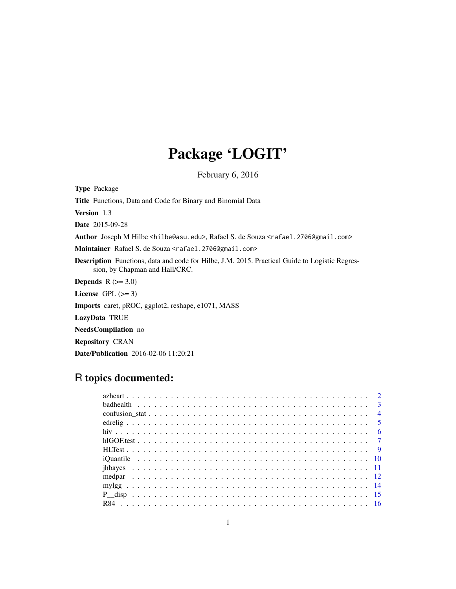## Package 'LOGIT'

February 6, 2016

<span id="page-0-0"></span>Type Package Title Functions, Data and Code for Binary and Binomial Data Version 1.3 Date 2015-09-28 Author Joseph M Hilbe <hilbe@asu.edu>, Rafael S. de Souza <rafael.2706@gmail.com> Maintainer Rafael S. de Souza <rafael.2706@gmail.com> Description Functions, data and code for Hilbe, J.M. 2015. Practical Guide to Logistic Regression, by Chapman and Hall/CRC. **Depends**  $R$  ( $>= 3.0$ ) License GPL  $(>= 3)$ Imports caret, pROC, ggplot2, reshape, e1071, MASS LazyData TRUE NeedsCompilation no Repository CRAN

## Date/Publication 2016-02-06 11:20:21

## R topics documented: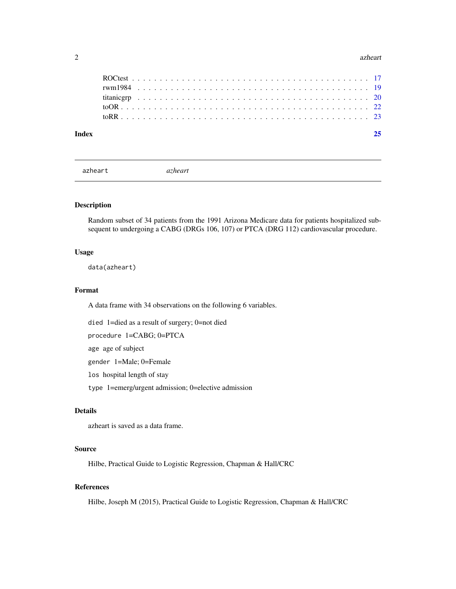#### <span id="page-1-0"></span>2 azheart a zhenn a zhenn a zhenn a zhenn a zhenn a zhenn a zhenn a zhenn a zhenn a zhenn a zhenn a zhenn a zh

| Index |  |  |  |  |  |  |  |  |  |  |  |  |  |  |  |  |  |  |  |  |  |  |
|-------|--|--|--|--|--|--|--|--|--|--|--|--|--|--|--|--|--|--|--|--|--|--|
|       |  |  |  |  |  |  |  |  |  |  |  |  |  |  |  |  |  |  |  |  |  |  |
|       |  |  |  |  |  |  |  |  |  |  |  |  |  |  |  |  |  |  |  |  |  |  |
|       |  |  |  |  |  |  |  |  |  |  |  |  |  |  |  |  |  |  |  |  |  |  |
|       |  |  |  |  |  |  |  |  |  |  |  |  |  |  |  |  |  |  |  |  |  |  |
|       |  |  |  |  |  |  |  |  |  |  |  |  |  |  |  |  |  |  |  |  |  |  |

azheart *azheart*

## Description

Random subset of 34 patients from the 1991 Arizona Medicare data for patients hospitalized subsequent to undergoing a CABG (DRGs 106, 107) or PTCA (DRG 112) cardiovascular procedure.

#### Usage

data(azheart)

## Format

A data frame with 34 observations on the following 6 variables.

died 1=died as a result of surgery; 0=not died

procedure 1=CABG; 0=PTCA

age age of subject

gender 1=Male; 0=Female

los hospital length of stay

type 1=emerg/urgent admission; 0=elective admission

## Details

azheart is saved as a data frame.

#### Source

Hilbe, Practical Guide to Logistic Regression, Chapman & Hall/CRC

## References

Hilbe, Joseph M (2015), Practical Guide to Logistic Regression, Chapman & Hall/CRC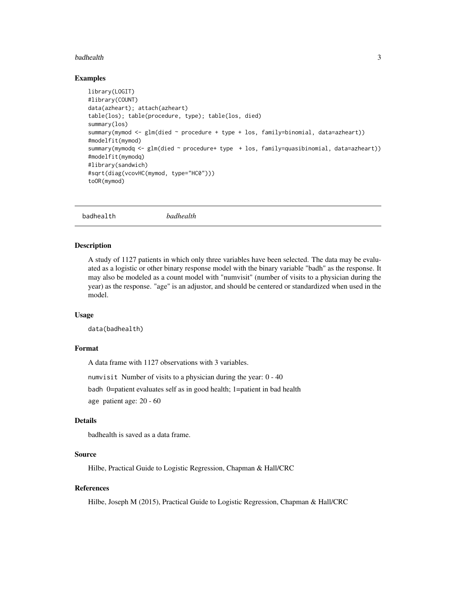#### <span id="page-2-0"></span>badhealth 3

#### Examples

```
library(LOGIT)
#library(COUNT)
data(azheart); attach(azheart)
table(los); table(procedure, type); table(los, died)
summary(los)
summary(mymod <- glm(died ~ procedure + type + los, family=binomial, data=azheart))
#modelfit(mymod)
summary(mymodq <- glm(died ~ procedure+ type + los, family=quasibinomial, data=azheart))
#modelfit(mymodq)
#library(sandwich)
#sqrt(diag(vcovHC(mymod, type="HC0")))
toOR(mymod)
```
badhealth *badhealth*

#### Description

A study of 1127 patients in which only three variables have been selected. The data may be evaluated as a logistic or other binary response model with the binary variable "badh" as the response. It may also be modeled as a count model with "numvisit" (number of visits to a physician during the year) as the response. "age" is an adjustor, and should be centered or standardized when used in the model.

#### Usage

```
data(badhealth)
```
## Format

A data frame with 1127 observations with 3 variables.

numvisit Number of visits to a physician during the year: 0 - 40

badh 0=patient evaluates self as in good health; 1=patient in bad health

age patient age: 20 - 60

## Details

badhealth is saved as a data frame.

## Source

Hilbe, Practical Guide to Logistic Regression, Chapman & Hall/CRC

## References

Hilbe, Joseph M (2015), Practical Guide to Logistic Regression, Chapman & Hall/CRC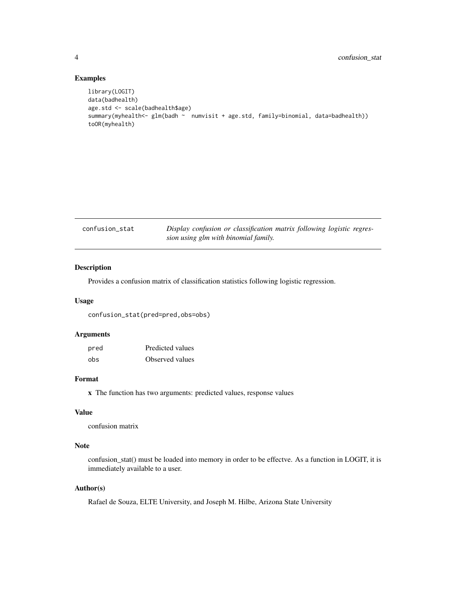## Examples

```
library(LOGIT)
data(badhealth)
age.std <- scale(badhealth$age)
summary(myhealth<- glm(badh ~ numvisit + age.std, family=binomial, data=badhealth))
toOR(myhealth)
```

| confusion_stat | Display confusion or classification matrix following logistic regres- |
|----------------|-----------------------------------------------------------------------|
|                | sion using glm with binomial family.                                  |

## Description

Provides a confusion matrix of classification statistics following logistic regression.

#### Usage

confusion\_stat(pred=pred,obs=obs)

## Arguments

| pred | Predicted values |
|------|------------------|
| obs  | Observed values  |

#### Format

x The function has two arguments: predicted values, response values

## Value

confusion matrix

## Note

confusion\_stat() must be loaded into memory in order to be effectve. As a function in LOGIT, it is immediately available to a user.

## Author(s)

Rafael de Souza, ELTE University, and Joseph M. Hilbe, Arizona State University

<span id="page-3-0"></span>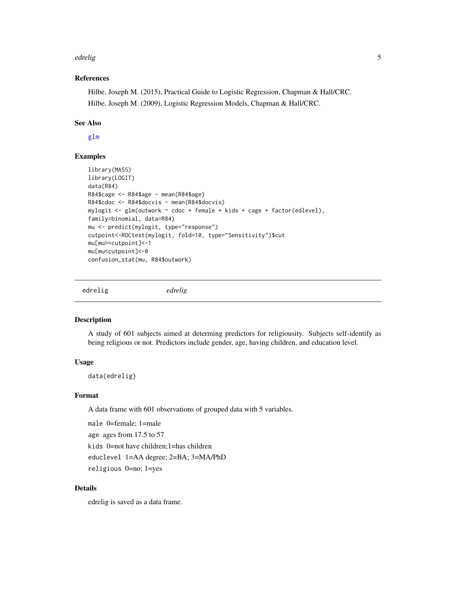#### <span id="page-4-0"></span>edrelig 50 to 50 million and 200 million and 200 million and 200 million and 30 million and 30 million and 30 million and 30 million and 30 million and 30 million and 30 million and 30 million and 30 million and 30 million

## References

Hilbe, Joseph M. (2015), Practical Guide to Logistic Regression, Chapman & Hall/CRC. Hilbe, Joseph M. (2009), Logistic Regression Models, Chapman & Hall/CRC.

#### See Also

[glm](#page-0-0)

## Examples

```
library(MASS)
library(LOGIT)
data(R84)
R84$cage <- R84$age - mean(R84$age)
R84$cdoc <- R84$docvis - mean(R84$docvis)
mylogit \leq glm(outwork \sim cdoc + female + kids + cage + factor(edlevel),
family=binomial, data=R84)
mu <- predict(mylogit, type="response")
cutpoint<-ROCtest(mylogit, fold=10, type="Sensitivity")$cut
mu[mu>=cutpoint]<-1
mu[mu<cutpoint]<-0
confusion_stat(mu, R84$outwork)
```
edrelig *edrelig*

#### Description

A study of 601 subjects aimed at determing predictors for religiousity. Subjects self-identify as being religious or not. Predictors include gender, age, having children, and education level.

## Usage

data(edrelig)

## Format

A data frame with 601 observations of grouped data with 5 variables.

male 0=female; 1=male age ages from 17.5 to 57 kids 0=not have children;1=has children educlevel 1=AA degree; 2=BA; 3=MA/PhD

religious 0=no; 1=yes

## Details

edrelig is saved as a data frame.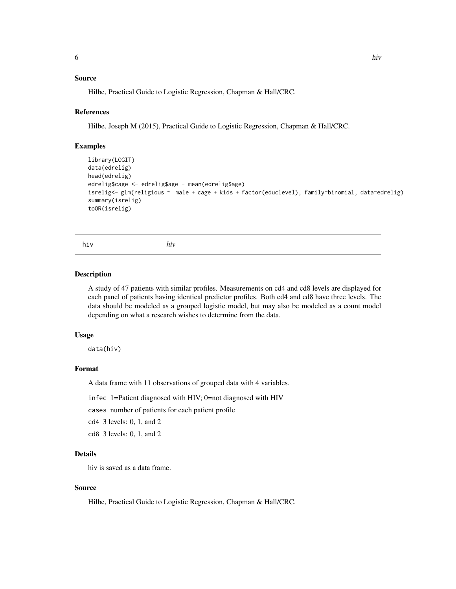## <span id="page-5-0"></span>Source

Hilbe, Practical Guide to Logistic Regression, Chapman & Hall/CRC.

#### References

Hilbe, Joseph M (2015), Practical Guide to Logistic Regression, Chapman & Hall/CRC.

#### Examples

```
library(LOGIT)
data(edrelig)
head(edrelig)
edrelig$cage <- edrelig$age - mean(edrelig$age)
isrelig<- glm(religious ~ male + cage + kids + factor(educlevel), family=binomial, data=edrelig)
summary(isrelig)
toOR(isrelig)
```
hiv *hiv*

#### Description

A study of 47 patients with similar profiles. Measurements on cd4 and cd8 levels are displayed for each panel of patients having identical predictor profiles. Both cd4 and cd8 have three levels. The data should be modeled as a grouped logistic model, but may also be modeled as a count model depending on what a research wishes to determine from the data.

#### Usage

data(hiv)

#### Format

A data frame with 11 observations of grouped data with 4 variables.

infec 1=Patient diagnosed with HIV; 0=not diagnosed with HIV

cases number of patients for each patient profile

cd4 3 levels: 0, 1, and 2

cd8 3 levels: 0, 1, and 2

## Details

hiv is saved as a data frame.

#### Source

Hilbe, Practical Guide to Logistic Regression, Chapman & Hall/CRC.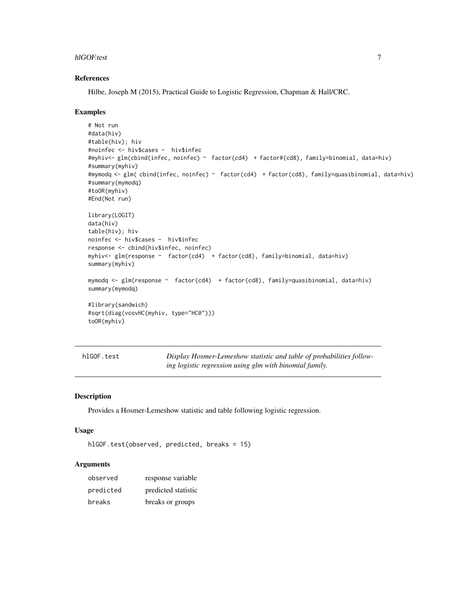#### <span id="page-6-0"></span>hlGOF.test 7

#### References

Hilbe, Joseph M (2015), Practical Guide to Logistic Regression, Chapman & Hall/CRC.

#### Examples

```
# Not run
#data(hiv)
#table(hiv); hiv
#noinfec <- hiv$cases - hiv$infec
#myhiv<- glm(cbind(infec, noinfec) ~ factor(cd4) + factor#(cd8), family=binomial, data=hiv)
#summary(myhiv)
#mymodq <- glm( cbind(infec, noinfec) ~ factor(cd4) + factor(cd8), family=quasibinomial, data=hiv)
#summary(mymodq)
#toOR(myhiv)
#End(Not run)
library(LOGIT)
data(hiv)
table(hiv); hiv
noinfec <- hiv$cases - hiv$infec
response <- cbind(hiv$infec, noinfec)
myhiv<- glm(response ~ factor(cd4) + factor(cd8), family=binomial, data=hiv)
summary(myhiv)
mymodq <- glm(response ~ factor(cd4) + factor(cd8), family=quasibinomial, data=hiv)
summary(mymodq)
#library(sandwich)
#sqrt(diag(vcovHC(myhiv, type="HC0")))
toOR(myhiv)
```
hlGOF.test *Display Hosmer-Lemeshow statistic and table of probabilities following logistic regression using glm with binomial family.*

## Description

Provides a Hosmer-Lemeshow statistic and table following logistic regression.

## Usage

```
hlGOF.test(observed, predicted, breaks = 15)
```
#### **Arguments**

| observed  | response variable   |
|-----------|---------------------|
| predicted | predicted statistic |
| breaks    | breaks or groups    |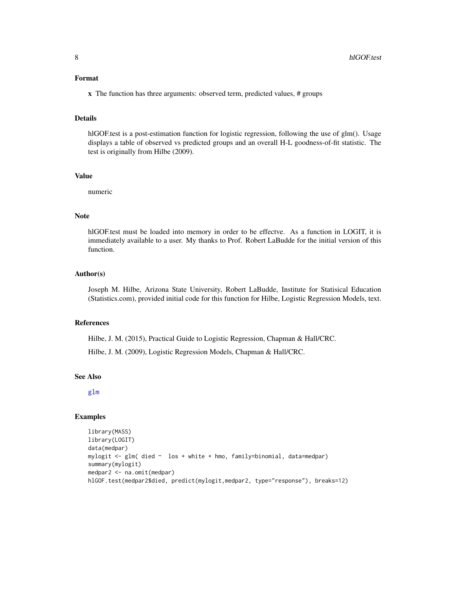#### <span id="page-7-0"></span>Format

x The function has three arguments: observed term, predicted values, # groups

#### Details

hlGOF.test is a post-estimation function for logistic regression, following the use of glm(). Usage displays a table of observed vs predicted groups and an overall H-L goodness-of-fit statistic. The test is originally from Hilbe (2009).

## Value

numeric

## Note

hlGOF.test must be loaded into memory in order to be effectve. As a function in LOGIT, it is immediately available to a user. My thanks to Prof. Robert LaBudde for the initial version of this function.

## Author(s)

Joseph M. Hilbe, Arizona State University, Robert LaBudde, Institute for Statisical Education (Statistics.com), provided initial code for this function for Hilbe, Logistic Regression Models, text.

## References

Hilbe, J. M. (2015), Practical Guide to Logistic Regression, Chapman & Hall/CRC.

Hilbe, J. M. (2009), Logistic Regression Models, Chapman & Hall/CRC.

#### See Also

[glm](#page-0-0)

## Examples

```
library(MASS)
library(LOGIT)
data(medpar)
mylogit <- glm( died ~ los + white + hmo, family=binomial, data=medpar)
summary(mylogit)
medpar2 <- na.omit(medpar)
hlGOF.test(medpar2$died, predict(mylogit,medpar2, type="response"), breaks=12)
```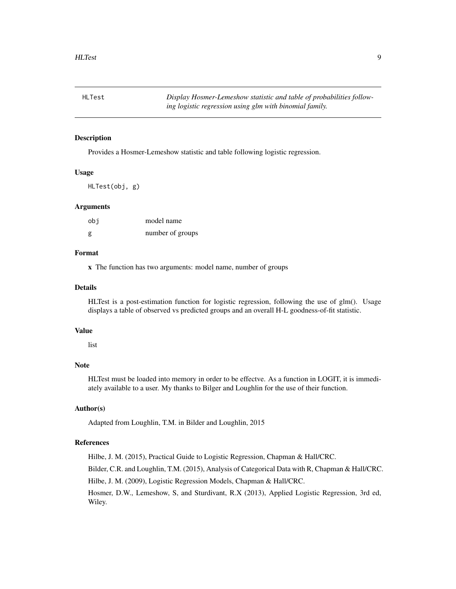<span id="page-8-0"></span>HLTest *Display Hosmer-Lemeshow statistic and table of probabilities following logistic regression using glm with binomial family.*

#### Description

Provides a Hosmer-Lemeshow statistic and table following logistic regression.

#### Usage

HLTest(obj, g)

## Arguments

| obi | model name       |
|-----|------------------|
| g   | number of groups |

#### Format

x The function has two arguments: model name, number of groups

## Details

HLTest is a post-estimation function for logistic regression, following the use of glm(). Usage displays a table of observed vs predicted groups and an overall H-L goodness-of-fit statistic.

#### Value

list

#### Note

HLTest must be loaded into memory in order to be effectve. As a function in LOGIT, it is immediately available to a user. My thanks to Bilger and Loughlin for the use of their function.

## Author(s)

Adapted from Loughlin, T.M. in Bilder and Loughlin, 2015

## References

Hilbe, J. M. (2015), Practical Guide to Logistic Regression, Chapman & Hall/CRC.

Bilder, C.R. and Loughlin, T.M. (2015), Analysis of Categorical Data with R, Chapman & Hall/CRC.

Hilbe, J. M. (2009), Logistic Regression Models, Chapman & Hall/CRC.

Hosmer, D.W., Lemeshow, S, and Sturdivant, R.X (2013), Applied Logistic Regression, 3rd ed, Wiley.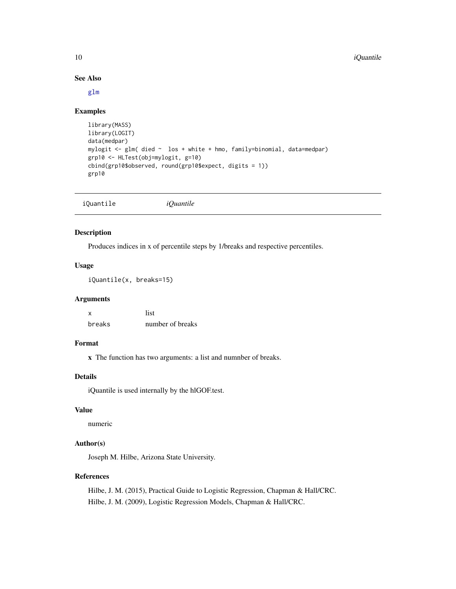#### See Also

[glm](#page-0-0)

#### Examples

```
library(MASS)
library(LOGIT)
data(medpar)
mylogit <- glm( died ~ los + white + hmo, family=binomial, data=medpar)
grp10 <- HLTest(obj=mylogit, g=10)
cbind(grp10$observed, round(grp10$expect, digits = 1))
grp10
```

|--|--|

## Description

Produces indices in x of percentile steps by 1/breaks and respective percentiles.

## Usage

iQuantile(x, breaks=15)

## Arguments

| x      | list             |
|--------|------------------|
| breaks | number of breaks |

## Format

x The function has two arguments: a list and numnber of breaks.

## Details

iQuantile is used internally by the hlGOF.test.

## Value

numeric

## Author(s)

Joseph M. Hilbe, Arizona State University.

#### References

Hilbe, J. M. (2015), Practical Guide to Logistic Regression, Chapman & Hall/CRC. Hilbe, J. M. (2009), Logistic Regression Models, Chapman & Hall/CRC.

<span id="page-9-0"></span>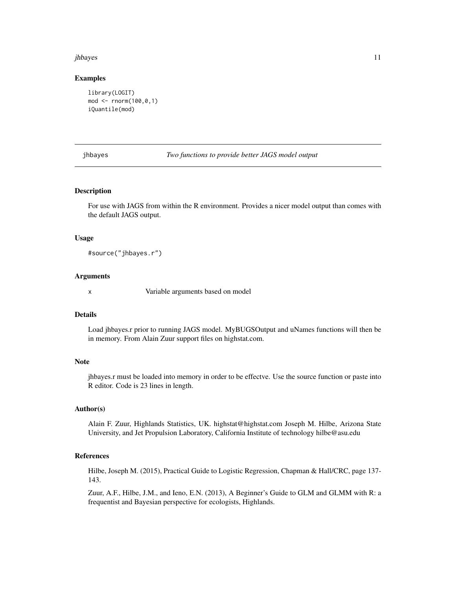#### <span id="page-10-0"></span>jhbayes 11

#### Examples

```
library(LOGIT)
mod <- rnorm(100,0,1)
iQuantile(mod)
```
jhbayes *Two functions to provide better JAGS model output*

#### Description

For use with JAGS from within the R environment. Provides a nicer model output than comes with the default JAGS output.

#### Usage

#source("jhbayes.r")

#### Arguments

x Variable arguments based on model

## Details

Load jhbayes.r prior to running JAGS model. MyBUGSOutput and uNames functions will then be in memory. From Alain Zuur support files on highstat.com.

## **Note**

jhbayes.r must be loaded into memory in order to be effectve. Use the source function or paste into R editor. Code is 23 lines in length.

## Author(s)

Alain F. Zuur, Highlands Statistics, UK. highstat@highstat.com Joseph M. Hilbe, Arizona State University, and Jet Propulsion Laboratory, California Institute of technology hilbe@asu.edu

## References

Hilbe, Joseph M. (2015), Practical Guide to Logistic Regression, Chapman & Hall/CRC, page 137- 143.

Zuur, A.F., Hilbe, J.M., and Ieno, E.N. (2013), A Beginner's Guide to GLM and GLMM with R: a frequentist and Bayesian perspective for ecologists, Highlands.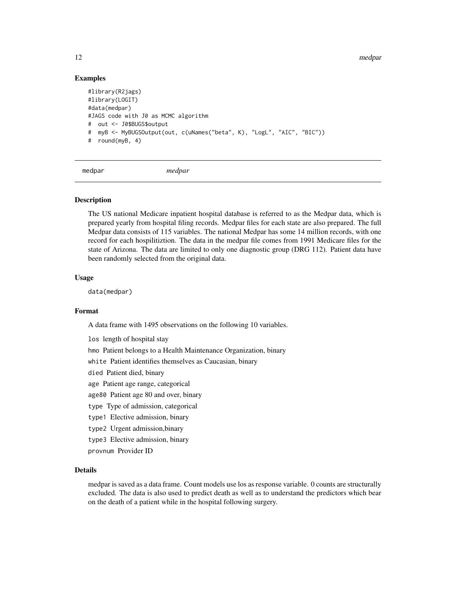12 medpart of the contract of the contract of the contract of the contract of the contract of the contract of the contract of the contract of the contract of the contract of the contract of the contract of the contract of

## Examples

```
#library(R2jags)
#library(LOGIT)
#data(medpar)
#JAGS code with J0 as MCMC algorithm
# out <- J0$BUGS$output
# myB <- MyBUGSOutput(out, c(uNames("beta", K), "LogL", "AIC", "BIC"))
# round(myB, 4)
```
medpar *medpar*

#### **Description**

The US national Medicare inpatient hospital database is referred to as the Medpar data, which is prepared yearly from hospital filing records. Medpar files for each state are also prepared. The full Medpar data consists of 115 variables. The national Medpar has some 14 million records, with one record for each hospilitiztion. The data in the medpar file comes from 1991 Medicare files for the state of Arizona. The data are limited to only one diagnostic group (DRG 112). Patient data have been randomly selected from the original data.

#### Usage

data(medpar)

## Format

A data frame with 1495 observations on the following 10 variables.

los length of hospital stay

hmo Patient belongs to a Health Maintenance Organization, binary

white Patient identifies themselves as Caucasian, binary

died Patient died, binary

age Patient age range, categorical

- age80 Patient age 80 and over, binary
- type Type of admission, categorical
- type1 Elective admission, binary
- type2 Urgent admission,binary
- type3 Elective admission, binary

provnum Provider ID

## Details

medpar is saved as a data frame. Count models use los as response variable. 0 counts are structurally excluded. The data is also used to predict death as well as to understand the predictors which bear on the death of a patient while in the hospital following surgery.

<span id="page-11-0"></span>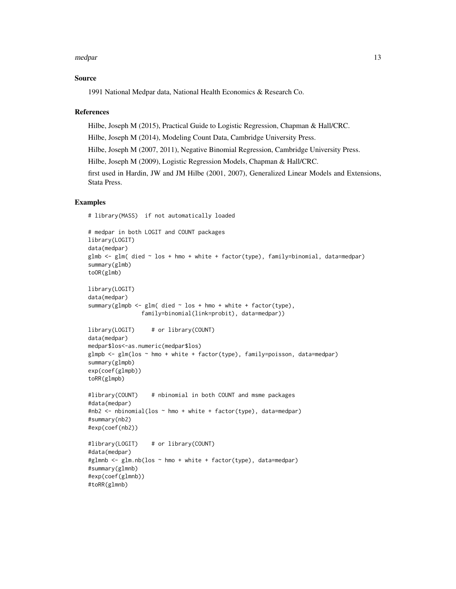#### medpar and the set of the set of the set of the set of the set of the set of the set of the set of the set of the set of the set of the set of the set of the set of the set of the set of the set of the set of the set of th

#### Source

1991 National Medpar data, National Health Economics & Research Co.

#### References

Hilbe, Joseph M (2015), Practical Guide to Logistic Regression, Chapman & Hall/CRC.

Hilbe, Joseph M (2014), Modeling Count Data, Cambridge University Press.

Hilbe, Joseph M (2007, 2011), Negative Binomial Regression, Cambridge University Press.

Hilbe, Joseph M (2009), Logistic Regression Models, Chapman & Hall/CRC.

first used in Hardin, JW and JM Hilbe (2001, 2007), Generalized Linear Models and Extensions, Stata Press.

#### Examples

# library(MASS) if not automatically loaded

```
# medpar in both LOGIT and COUNT packages
library(LOGIT)
data(medpar)
glmb <- glm( died ~ los + hmo + white + factor(type), family=binomial, data=medpar)
summary(glmb)
toOR(glmb)
library(LOGIT)
data(medpar)
summary(glmpb \leq glm( died \sim los + hmo + white + factor(type),
                family=binomial(link=probit), data=medpar))
library(LOGIT) # or library(COUNT)
data(medpar)
medpar$los<-as.numeric(medpar$los)
glmpb <- glm(los ~ hmo + white + factor(type), family=poisson, data=medpar)
summary(glmpb)
exp(coef(glmpb))
toRR(glmpb)
#library(COUNT) # nbinomial in both COUNT and msme packages
#data(medpar)
#nb2 <- nbinomial(los ~ hmo + white + factor(type), data=medpar)
#summary(nb2)
#exp(coef(nb2))
#library(LOGIT) # or library(COUNT)
#data(medpar)
#glmnb <- glm.nb(los ~ hmo + white + factor(type), data=medpar)
#summary(glmnb)
#exp(coef(glmnb))
#toRR(glmnb)
```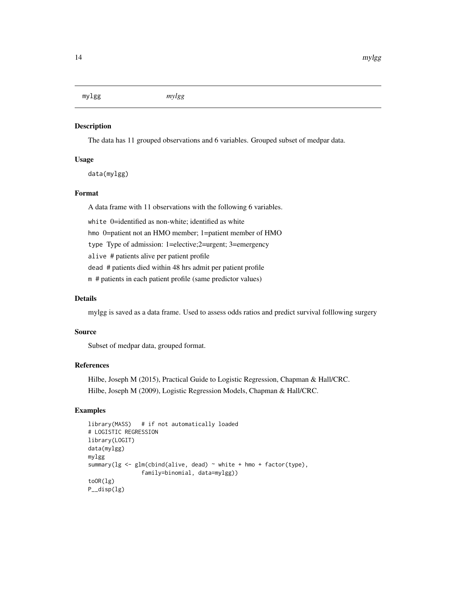<span id="page-13-0"></span>mylgg *mylgg*

## Description

The data has 11 grouped observations and 6 variables. Grouped subset of medpar data.

#### Usage

data(mylgg)

## Format

A data frame with 11 observations with the following 6 variables. white 0=identified as non-white; identified as white hmo 0=patient not an HMO member; 1=patient member of HMO type Type of admission: 1=elective;2=urgent; 3=emergency alive # patients alive per patient profile dead # patients died within 48 hrs admit per patient profile m # patients in each patient profile (same predictor values)

## Details

mylgg is saved as a data frame. Used to assess odds ratios and predict survival folllowing surgery

#### Source

Subset of medpar data, grouped format.

## References

Hilbe, Joseph M (2015), Practical Guide to Logistic Regression, Chapman & Hall/CRC. Hilbe, Joseph M (2009), Logistic Regression Models, Chapman & Hall/CRC.

## Examples

```
library(MASS) # if not automatically loaded
# LOGISTIC REGRESSION
library(LOGIT)
data(mylgg)
mylgg
summary(\lg \leq \text{glm}(\text{cbind}(\text{alive}, \text{dead}) \sim \text{white} + \text{hmo} + \text{factor}(\text{type}),family=binomial, data=mylgg))
toOR(lg)
P__disp(lg)
```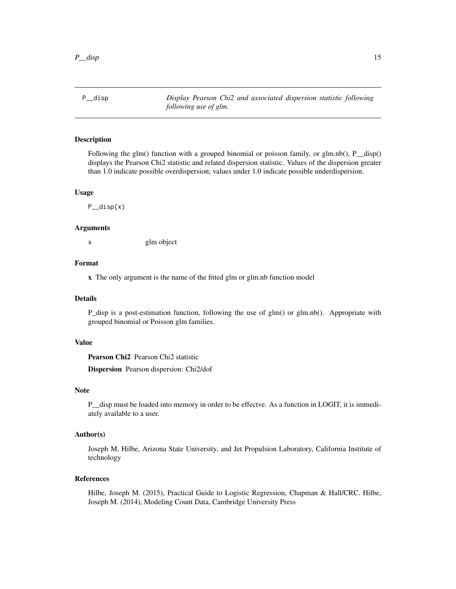<span id="page-14-0"></span>P\_\_disp *Display Pearson Chi2 and associated dispersion statistic following following use of glm.*

#### Description

Following the glm() function with a grouped binomial or poisson family, or glm.nb(), P\_disp() displays the Pearson Chi2 statistic and related dispersion statistic. Values of the dispersion greater than 1.0 indicate possible overdispersion; values under 1.0 indicate possible underdispersion.

#### Usage

P\_\_disp(x)

#### Arguments

x glm object

#### Format

x The only argument is the name of the fitted glm or glm.nb function model

## Details

P\_disp is a post-estimation function, following the use of glm() or glm.nb(). Appropriate with grouped binomial or Poisson glm families.

## Value

Pearson Chi2 Pearson Chi2 statistic

Dispersion Pearson dispersion: Chi2/dof

#### Note

P\_\_disp must be loaded into memory in order to be effectve. As a function in LOGIT, it is immediately available to a user.

## Author(s)

Joseph M. Hilbe, Arizona State University, and Jet Propulsion Laboratory, California Institute of technology

## References

Hilbe, Joseph M. (2015), Practical Guide to Logistic Regression, Chapman & Hall/CRC. Hilbe, Joseph M. (2014), Modeling Count Data, Cambridge University Press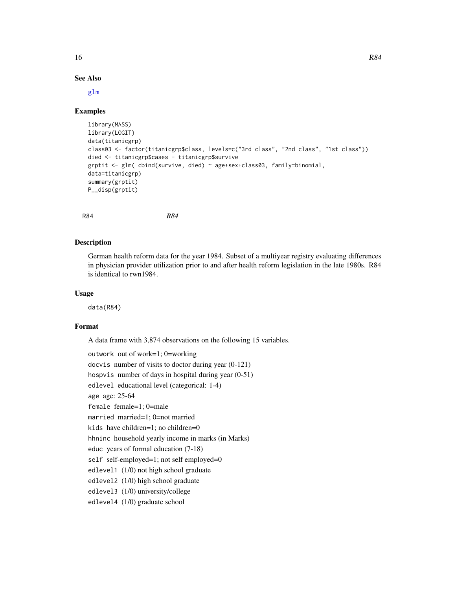#### $16$  R84

## See Also

[glm](#page-0-0)

#### Examples

```
library(MASS)
library(LOGIT)
data(titanicgrp)
class03 <- factor(titanicgrp$class, levels=c("3rd class", "2nd class", "1st class"))
died <- titanicgrp$cases - titanicgrp$survive
grptit <- glm( cbind(survive, died) ~ age+sex+class03, family=binomial,
data=titanicgrp)
summary(grptit)
P__disp(grptit)
```
R84 *R84*

## **Description**

German health reform data for the year 1984. Subset of a multiyear registry evaluating differences in physician provider utilization prior to and after health reform legislation in the late 1980s. R84 is identical to rwn1984.

#### Usage

data(R84)

#### Format

A data frame with 3,874 observations on the following 15 variables.

```
outwork out of work=1; 0=working
docvis number of visits to doctor during year (0-121)
hospvis number of days in hospital during year (0-51)
edlevel educational level (categorical: 1-4)
age age: 25-64
female female=1; 0=male
married married=1; 0=not married
kids have children=1; no children=0
hhninc household yearly income in marks (in Marks)
educ years of formal education (7-18)
self self-employed=1; not self employed=0
edlevel1 (1/0) not high school graduate
edlevel2 (1/0) high school graduate
edlevel3 (1/0) university/college
edlevel4 (1/0) graduate school
```
<span id="page-15-0"></span>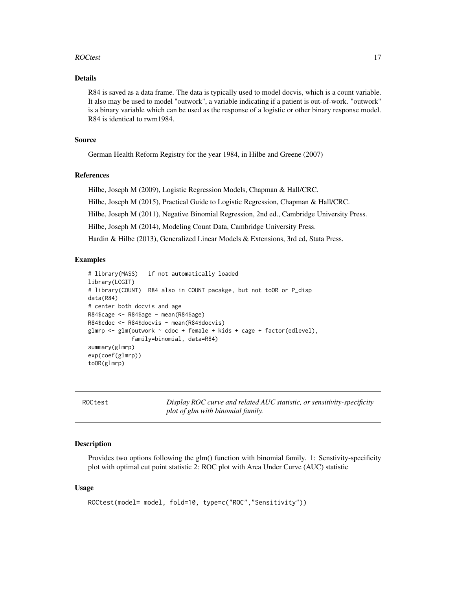#### <span id="page-16-0"></span>ROCtest 17

## Details

R84 is saved as a data frame. The data is typically used to model docvis, which is a count variable. It also may be used to model "outwork", a variable indicating if a patient is out-of-work. "outwork" is a binary variable which can be used as the response of a logistic or other binary response model. R84 is identical to rwm1984.

#### Source

German Health Reform Registry for the year 1984, in Hilbe and Greene (2007)

## References

Hilbe, Joseph M (2009), Logistic Regression Models, Chapman & Hall/CRC.

Hilbe, Joseph M (2015), Practical Guide to Logistic Regression, Chapman & Hall/CRC.

Hilbe, Joseph M (2011), Negative Binomial Regression, 2nd ed., Cambridge University Press.

Hilbe, Joseph M (2014), Modeling Count Data, Cambridge University Press.

Hardin & Hilbe (2013), Generalized Linear Models & Extensions, 3rd ed, Stata Press.

## Examples

```
# library(MASS) if not automatically loaded
library(LOGIT)
# library(COUNT) R84 also in COUNT pacakge, but not toOR or P_disp
data(R84)
# center both docvis and age
R84$cage <- R84$age - mean(R84$age)
R84$cdoc <- R84$docvis - mean(R84$docvis)
glmrp <- glm(outwork ~ cdoc + female + kids + cage + factor(edlevel),
             family=binomial, data=R84)
summary(glmrp)
exp(coef(glmrp))
toOR(glmrp)
```
ROCtest *Display ROC curve and related AUC statistic, or sensitivity-specificity plot of glm with binomial family.*

#### **Description**

Provides two options following the glm() function with binomial family. 1: Senstivity-specificity plot with optimal cut point statistic 2: ROC plot with Area Under Curve (AUC) statistic

#### Usage

```
ROCtest(model= model, fold=10, type=c("ROC","Sensitivity"))
```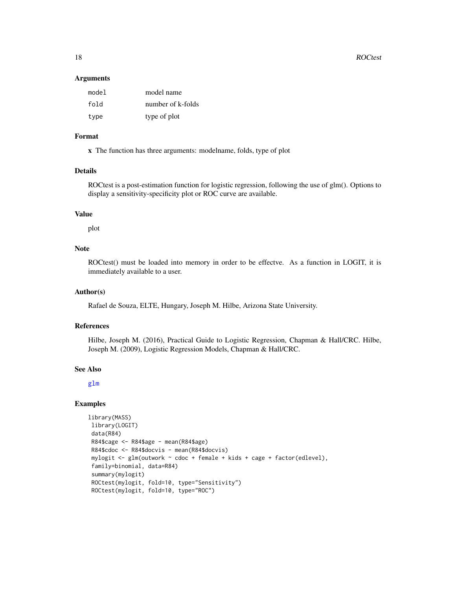#### **Arguments**

| model | model name        |
|-------|-------------------|
| fold  | number of k-folds |
| type  | type of plot      |

## Format

x The function has three arguments: modelname, folds, type of plot

## Details

ROCtest is a post-estimation function for logistic regression, following the use of glm(). Options to display a sensitivity-specificity plot or ROC curve are available.

#### Value

plot

## Note

ROCtest() must be loaded into memory in order to be effectve. As a function in LOGIT, it is immediately available to a user.

## Author(s)

Rafael de Souza, ELTE, Hungary, Joseph M. Hilbe, Arizona State University.

#### References

Hilbe, Joseph M. (2016), Practical Guide to Logistic Regression, Chapman & Hall/CRC. Hilbe, Joseph M. (2009), Logistic Regression Models, Chapman & Hall/CRC.

#### See Also

[glm](#page-0-0)

#### Examples

```
library(MASS)
library(LOGIT)
data(R84)
R84$cage <- R84$age - mean(R84$age)
R84$cdoc <- R84$docvis - mean(R84$docvis)
mylogit <- glm(outwork ~ cdoc + female + kids + cage + factor(edlevel),
family=binomial, data=R84)
summary(mylogit)
ROCtest(mylogit, fold=10, type="Sensitivity")
ROCtest(mylogit, fold=10, type="ROC")
```
<span id="page-17-0"></span>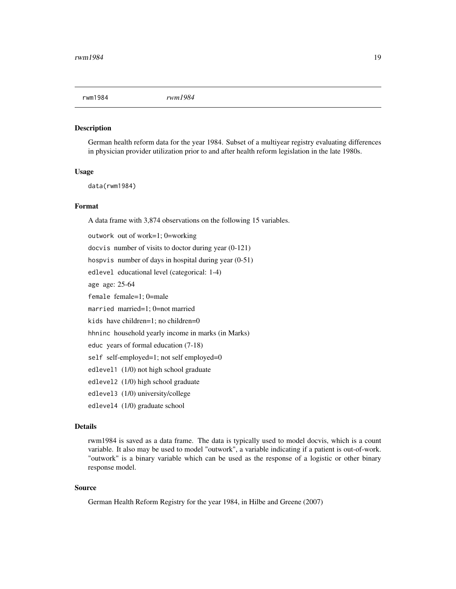<span id="page-18-0"></span>

#### Description

German health reform data for the year 1984. Subset of a multiyear registry evaluating differences in physician provider utilization prior to and after health reform legislation in the late 1980s.

#### Usage

data(rwm1984)

#### Format

A data frame with 3,874 observations on the following 15 variables.

outwork out of work=1; 0=working docvis number of visits to doctor during year (0-121) hospvis number of days in hospital during year (0-51) edlevel educational level (categorical: 1-4) age age: 25-64 female female=1; 0=male married married=1; 0=not married kids have children=1; no children=0 hhninc household yearly income in marks (in Marks) educ years of formal education (7-18) self self-employed=1; not self employed=0 edlevel1 (1/0) not high school graduate edlevel2 (1/0) high school graduate edlevel3 (1/0) university/college edlevel4 (1/0) graduate school

## Details

rwm1984 is saved as a data frame. The data is typically used to model docvis, which is a count variable. It also may be used to model "outwork", a variable indicating if a patient is out-of-work. "outwork" is a binary variable which can be used as the response of a logistic or other binary response model.

## Source

German Health Reform Registry for the year 1984, in Hilbe and Greene (2007)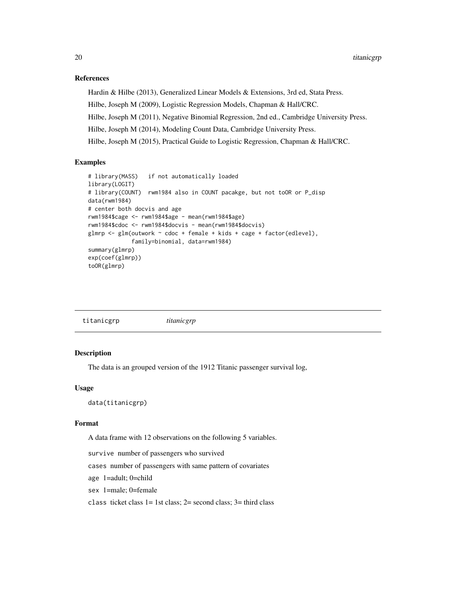## References

Hardin & Hilbe (2013), Generalized Linear Models & Extensions, 3rd ed, Stata Press.

Hilbe, Joseph M (2009), Logistic Regression Models, Chapman & Hall/CRC.

Hilbe, Joseph M (2011), Negative Binomial Regression, 2nd ed., Cambridge University Press.

Hilbe, Joseph M (2014), Modeling Count Data, Cambridge University Press.

Hilbe, Joseph M (2015), Practical Guide to Logistic Regression, Chapman & Hall/CRC.

## Examples

```
# library(MASS) if not automatically loaded
library(LOGIT)
# library(COUNT) rwm1984 also in COUNT pacakge, but not toOR or P_disp
data(rwm1984)
# center both docvis and age
rwm1984$cage <- rwm1984$age - mean(rwm1984$age)
rwm1984$cdoc <- rwm1984$docvis - mean(rwm1984$docvis)
glmrp \leq glm(outwork \sim cdoc + female + kids + cage + factor(edlevel),
             family=binomial, data=rwm1984)
summary(glmrp)
exp(coef(glmrp))
toOR(glmrp)
```
titanicgrp *titanicgrp*

#### **Description**

The data is an grouped version of the 1912 Titanic passenger survival log,

#### Usage

data(titanicgrp)

#### Format

A data frame with 12 observations on the following 5 variables.

survive number of passengers who survived

cases number of passengers with same pattern of covariates

age 1=adult; 0=child

sex 1=male; 0=female

class ticket class  $1 = 1$ st class;  $2 =$  second class;  $3 =$  third class

<span id="page-19-0"></span>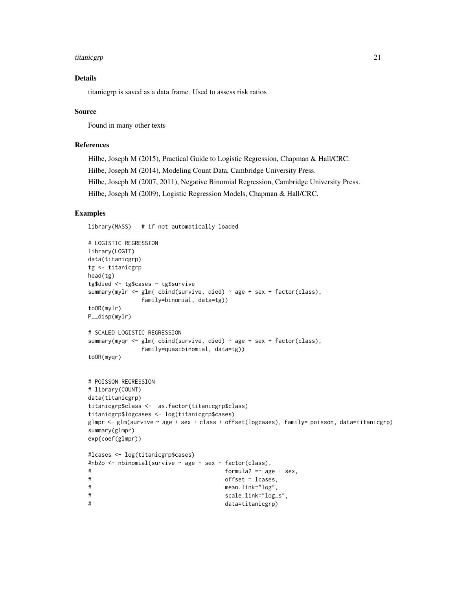#### titanicgrp 21

## Details

titanicgrp is saved as a data frame. Used to assess risk ratios

#### Source

Found in many other texts

## References

Hilbe, Joseph M (2015), Practical Guide to Logistic Regression, Chapman & Hall/CRC. Hilbe, Joseph M (2014), Modeling Count Data, Cambridge University Press. Hilbe, Joseph M (2007, 2011), Negative Binomial Regression, Cambridge University Press. Hilbe, Joseph M (2009), Logistic Regression Models, Chapman & Hall/CRC.

## Examples

library(MASS) # if not automatically loaded

```
# LOGISTIC REGRESSION
library(LOGIT)
data(titanicgrp)
tg <- titanicgrp
head(tg)
tg$died <- tg$cases - tg$survive
summary(mylr <- glm( cbind(survive, died) ~ age + sex + factor(class),
             family=binomial, data=tg))
toOR(mylr)
P__disp(mylr)
# SCALED LOGISTIC REGRESSION
summary(myqr <- glm( cbind(survive, died) ~ age + sex + factor(class),
             family=quasibinomial, data=tg))
toOR(myqr)
# POISSON REGRESSION
# library(COUNT)
data(titanicgrp)
titanicgrp$class <- as.factor(titanicgrp$class)
titanicgrp$logcases <- log(titanicgrp$cases)
glmpr \leq glm(survive \sim age + sex + class + offset(logcases), family= poisson, data=titanicgrp)
summary(glmpr)
exp(coef(glmpr))
#lcases <- log(titanicgrp$cases)
#nb2o <- nbinomial(survive ~ age + sex + factor(class),
# formula2 =~ age + sex,
# offset = lcases,
# mean.link="log",
# scale.link="log_s",
# data=titanicgrp)
```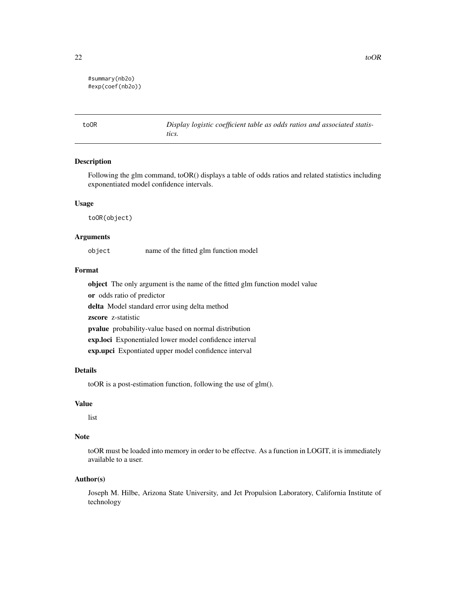```
#summary(nb2o)
#exp(coef(nb2o))
```
toOR *Display logistic coefficient table as odds ratios and associated statistics.*

## Description

Following the glm command, toOR() displays a table of odds ratios and related statistics including exponentiated model confidence intervals.

#### Usage

toOR(object)

#### Arguments

object name of the fitted glm function model

## Format

object The only argument is the name of the fitted glm function model value or odds ratio of predictor delta Model standard error using delta method zscore z-statistic pvalue probability-value based on normal distribution exp.loci Exponentialed lower model confidence interval exp.upci Expontiated upper model confidence interval

#### Details

toOR is a post-estimation function, following the use of glm().

#### Value

list

## Note

toOR must be loaded into memory in order to be effectve. As a function in LOGIT, it is immediately available to a user.

#### Author(s)

Joseph M. Hilbe, Arizona State University, and Jet Propulsion Laboratory, California Institute of technology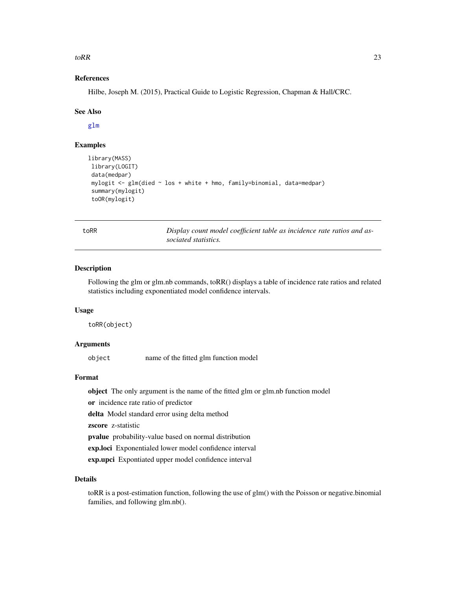<span id="page-22-0"></span> $\text{toRR}$  23

## References

Hilbe, Joseph M. (2015), Practical Guide to Logistic Regression, Chapman & Hall/CRC.

#### See Also

[glm](#page-0-0)

## Examples

```
library(MASS)
library(LOGIT)
data(medpar)
mylogit <- glm(died ~ los + white + hmo, family=binomial, data=medpar)
summary(mylogit)
 toOR(mylogit)
```

| I<br>$\sim$<br>۰.<br>× |
|------------------------|
|------------------------|

toRR *Display count model coefficient table as incidence rate ratios and associated statistics.*

#### Description

Following the glm or glm.nb commands, toRR() displays a table of incidence rate ratios and related statistics including exponentiated model confidence intervals.

#### Usage

toRR(object)

## Arguments

object name of the fitted glm function model

## Format

object The only argument is the name of the fitted glm or glm.nb function model

or incidence rate ratio of predictor

delta Model standard error using delta method

zscore z-statistic

pvalue probability-value based on normal distribution

exp.loci Exponentialed lower model confidence interval

exp.upci Expontiated upper model confidence interval

## Details

toRR is a post-estimation function, following the use of glm() with the Poisson or negative.binomial families, and following glm.nb().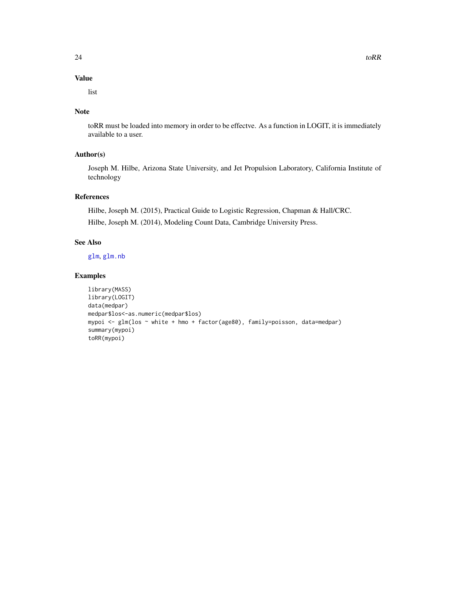## <span id="page-23-0"></span>Value

list

## Note

toRR must be loaded into memory in order to be effectve. As a function in LOGIT, it is immediately available to a user.

## Author(s)

Joseph M. Hilbe, Arizona State University, and Jet Propulsion Laboratory, California Institute of technology

## References

Hilbe, Joseph M. (2015), Practical Guide to Logistic Regression, Chapman & Hall/CRC. Hilbe, Joseph M. (2014), Modeling Count Data, Cambridge University Press.

## See Also

[glm](#page-0-0), [glm.nb](#page-0-0)

## Examples

```
library(MASS)
library(LOGIT)
data(medpar)
medpar$los<-as.numeric(medpar$los)
mypoi <- glm(los ~ white + hmo + factor(age80), family=poisson, data=medpar)
summary(mypoi)
toRR(mypoi)
```